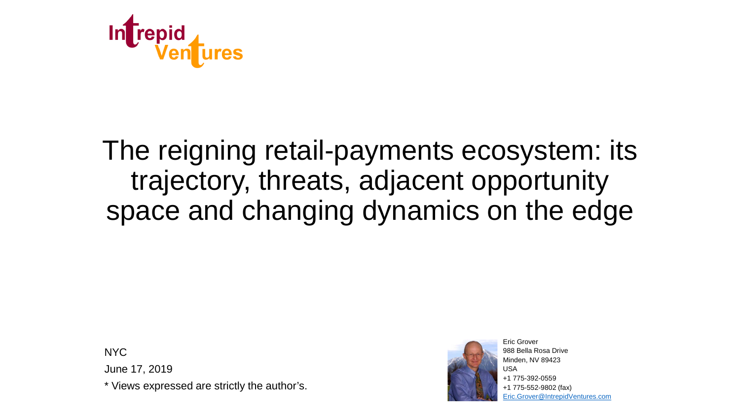

# The reigning retail-payments ecosystem: its trajectory, threats, adjacent opportunity space and changing dynamics on the edge

**NYC** 

June 17, 2019

\* Views expressed are strictly the author's.



988 Bella Rosa Drive Minden, NV 89423 USA +1 775-392-0559 +1 775-552-9802 (fax) [Eric.Grover@IntrepidVentures.com](mailto:Eric.Grover@IntrepidVentures.com)

Eric Grover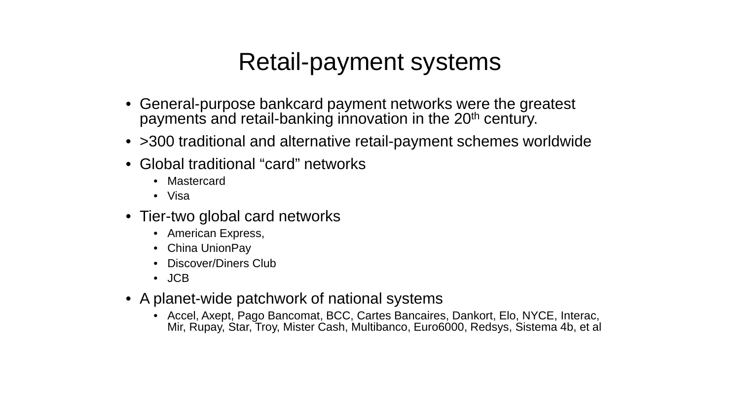### Retail-payment systems

- General-purpose bankcard payment networks were the greatest payments and retail-banking innovation in the 20<sup>th</sup> century.
- > 300 traditional and alternative retail-payment schemes worldwide
- Global traditional "card" networks
	- Mastercard
	- Visa
- Tier-two global card networks
	- American Express,
	- China UnionPay
	- Discover/Diners Club
	- JCB
- A planet-wide patchwork of national systems
	- Accel, Axept, Pago Bancomat, BCC, Cartes Bancaires, Dankort, Elo, NYCE, Interac, Mir, Rupay, Star, Troy, Mister Cash, Multibanco, Euro6000, Redsys, Sistema 4b, et al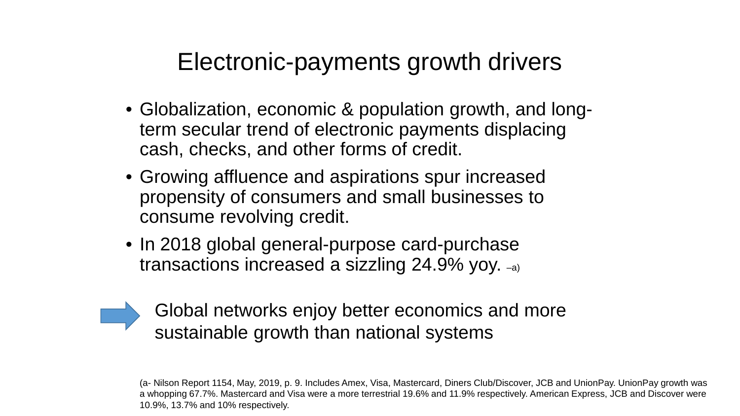#### Electronic-payments growth drivers

- Globalization, economic & population growth, and longterm secular trend of electronic payments displacing cash, checks, and other forms of credit.
- Growing affluence and aspirations spur increased propensity of consumers and small businesses to consume revolving credit.
- In 2018 global general-purpose card-purchase transactions increased a sizzling 24.9% yoy. –a)



Global networks enjoy better economics and more sustainable growth than national systems

(a- Nilson Report 1154, May, 2019, p. 9. Includes Amex, Visa, Mastercard, Diners Club/Discover, JCB and UnionPay. UnionPay growth was a whopping 67.7%. Mastercard and Visa were a more terrestrial 19.6% and 11.9% respectively. American Express, JCB and Discover were 10.9%, 13.7% and 10% respectively.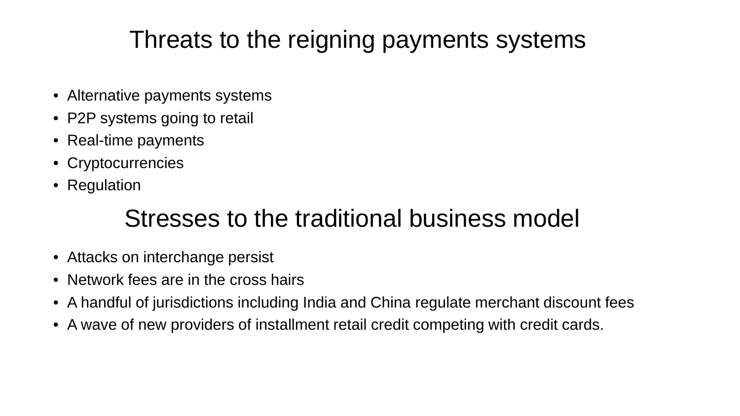# Threats to the reigning payments systems

- Alternative payments systems
- P2P systems going to retail
- Real-time payments
- Cryptocurrencies
- Regulation

### Stresses to the traditional business model

- Attacks on interchange persist
- Network fees are in the cross hairs
- A handful of jurisdictions including India and China regulate merchant discount fees
- A wave of new providers of installment retail credit competing with credit cards.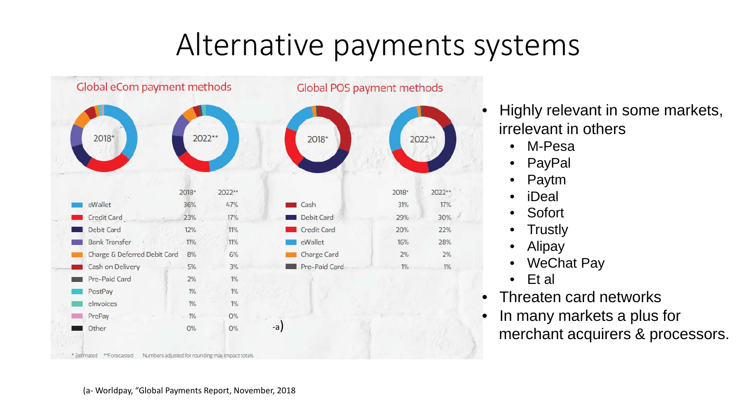# Alternative payments systems



- Highly relevant in some markets, irrelevant in others
	- M-Pesa
	- **PayPal**
	- Paytm
	- iDeal
	- Sofort
	- **Trustly**
	- **Alipay**
	- **WeChat Pay**
	- Et al
- Threaten card networks
- In many markets a plus for merchant acquirers & processors.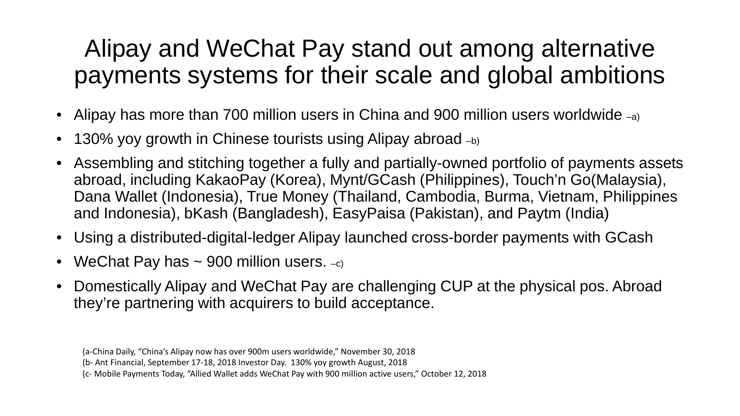### Alipay and WeChat Pay stand out among alternative payments systems for their scale and global ambitions

- Alipay has more than 700 million users in China and 900 million users worldwide  $_{-a}$ )
- 130% yoy growth in Chinese tourists using Alipay abroad  $_{-b}$ )
- Assembling and stitching together a fully and partially-owned portfolio of payments assets abroad, including KakaoPay (Korea), Mynt/GCash (Philippines), Touch'n Go(Malaysia), Dana Wallet (Indonesia), True Money (Thailand, Cambodia, Burma, Vietnam, Philippines and Indonesia), bKash (Bangladesh), EasyPaisa (Pakistan), and Paytm (India)
- Using a distributed-digital-ledger Alipay launched cross-border payments with GCash
- WeChat Pay has  $\sim$  900 million users.  $-c$ )
- Domestically Alipay and WeChat Pay are challenging CUP at the physical pos. Abroad they're partnering with acquirers to build acceptance.

<sup>(</sup>a-China Daily, "China's Alipay now has over 900m users worldwide," November 30, 2018

<sup>(</sup>b- Ant Financial, September 17-18, 2018 Investor Day. 130% yoy growth August, 2018

<sup>(</sup>c- Mobile Payments Today, "Allied Wallet adds WeChat Pay with 900 million active users," October 12, 2018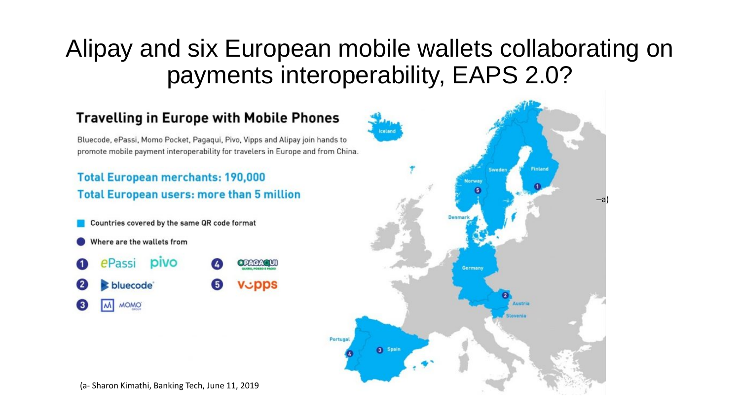### Alipay and six European mobile wallets collaborating on payments interoperability, EAPS 2.0?

 $-a$ 



(a- Sharon Kimathi, Banking Tech, June 11, 2019

 $\mathbf{2}$ 

 $\circ$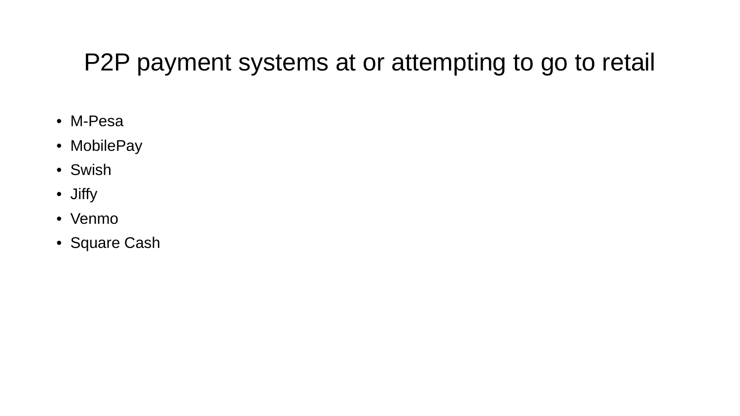### P2P payment systems at or attempting to go to retail

- M-Pesa
- MobilePay
- Swish
- Jiffy
- Venmo
- Square Cash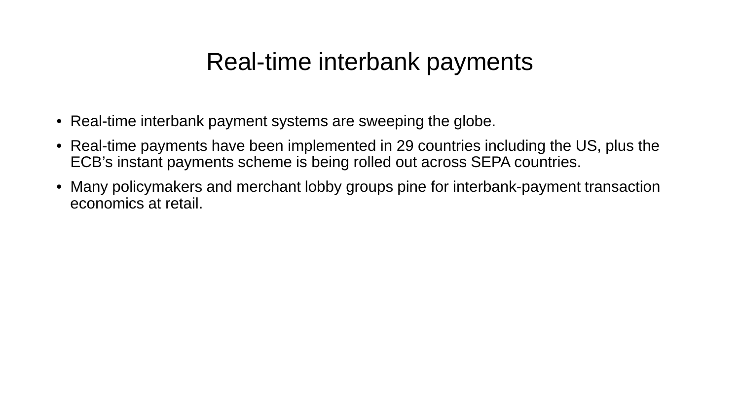#### Real-time interbank payments

- Real-time interbank payment systems are sweeping the globe.
- Real-time payments have been implemented in 29 countries including the US, plus the ECB's instant payments scheme is being rolled out across SEPA countries.
- Many policymakers and merchant lobby groups pine for interbank-payment transaction economics at retail.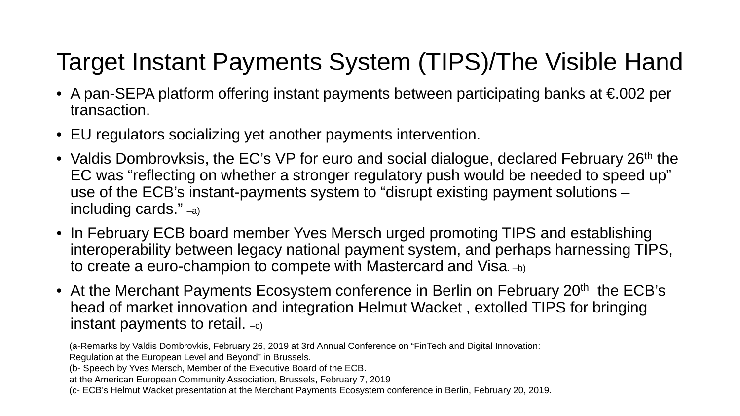# Target Instant Payments System (TIPS)/The Visible Hand

- A pan-SEPA platform offering instant payments between participating banks at €002 per transaction.
- EU regulators socializing yet another payments intervention.
- Valdis Dombrovksis, the EC's VP for euro and social dialogue, declared February 26<sup>th</sup> the EC was "reflecting on whether a stronger regulatory push would be needed to speed up" use of the ECB's instant-payments system to "disrupt existing payment solutions – including cards." –a)
- In February ECB board member Yves Mersch urged promoting TIPS and establishing interoperability between legacy national payment system, and perhaps harnessing TIPS, to create a euro-champion to compete with Mastercard and Visa. -b)
- At the Merchant Payments Ecosystem conference in Berlin on February 20<sup>th</sup> the ECB's head of market innovation and integration Helmut Wacket , extolled TIPS for bringing instant payments to retail.  $-c$ )

- (b- Speech by Yves Mersch, Member of the Executive Board of the ECB.
- at the American European Community Association, Brussels, February 7, 2019
- (c- ECB's Helmut Wacket presentation at the Merchant Payments Ecosystem conference in Berlin, February 20, 2019.

<sup>(</sup>a-Remarks by Valdis Dombrovkis, February 26, 2019 at 3rd Annual Conference on "FinTech and Digital Innovation: Regulation at the European Level and Beyond" in Brussels.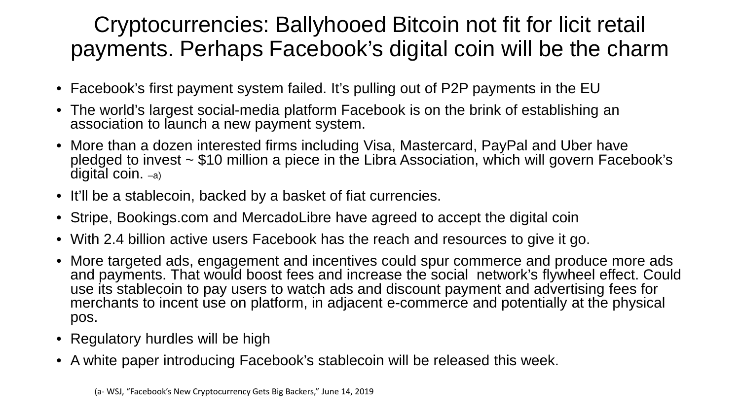#### Cryptocurrencies: Ballyhooed Bitcoin not fit for licit retail payments. Perhaps Facebook's digital coin will be the charm

- Facebook's first payment system failed. It's pulling out of P2P payments in the EU
- The world's largest social-media platform Facebook is on the brink of establishing an association to launch a new payment system.
- More than a dozen interested firms including Visa, Mastercard, PayPal and Uber have<br>pledged to invest ~ \$10 million a piece in the Libra Association, which will govern Facebook's digital coin. –a)
- It'll be a stablecoin, backed by a basket of fiat currencies.
- Stripe, Bookings.com and MercadoLibre have agreed to accept the digital coin
- With 2.4 billion active users Facebook has the reach and resources to give it go.
- More targeted ads, engagement and incentives could spur commerce and produce more ads and payments. That would boost fees and increase the social network's flywheel effect. Could use its stablecoin to pay users to watch ads and discount payment and advertising fees for merchants to incent use on platform, in adjacent e-commerce and potentially at the physical pos.
- Regulatory hurdles will be high
- A white paper introducing Facebook's stablecoin will be released this week.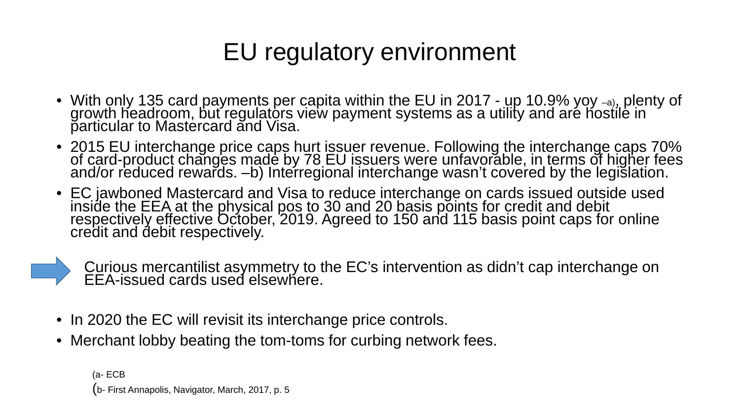# EU regulatory environment

- With only 135 card payments per capita within the EU in 2017 up 10.9% yoy -a), plenty of growth headroom, but regulators view payment systems as a utility and are hostile in particular to Mastercard and Visa.
- 2015 EU interchange price caps hurt issuer revenue. Following the interchange caps 70% of card-product changes made by 78 EU issuers were unfavorable, in terms of higher fees and/or reduced rewards. -b) Interregional int
- EC jawboned Mastercard and Visa to reduce interchange on cards issued outside used<br>inside the EEA at the physical pos to 30 and 20 basis points for credit and debit<br>respectively effective October, 2019. Agreed to 150 and credit and debit respectively.

Curious mercantilist asymmetry to the EC's intervention as didn't cap interchange on EEA-issued cards used elsewhere.

- In 2020 the EC will revisit its interchange price controls.
- Merchant lobby beating the tom-toms for curbing network fees.

(a- ECB (b- First Annapolis, Navigator, March, 2017, p. 5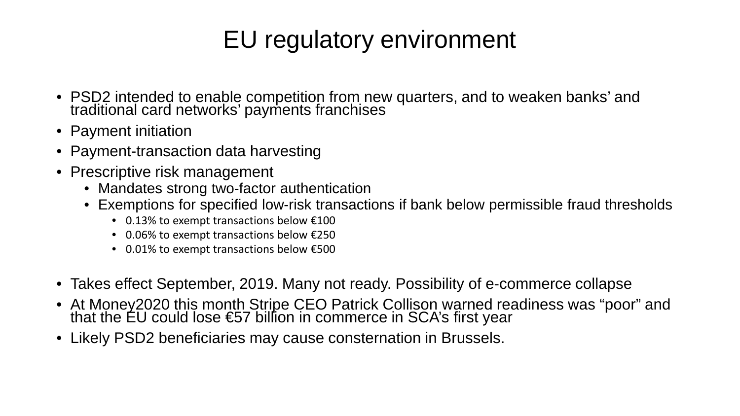# EU regulatory environment

- PSD2 intended to enable competition from new quarters, and to weaken banks' and traditional card networks' payments franchises
- Payment initiation
- Payment-transaction data harvesting
- Prescriptive risk management
	- Mandates strong two-factor authentication
	- Exemptions for specified low-risk transactions if bank below permissible fraud thresholds
		- 0.13% to exempt transactions below €100
		- 0.06% to exempt transactions below €250
		- 0.01% to exempt transactions below €500
- Takes effect September, 2019. Many not ready. Possibility of e-commerce collapse
- At Money2020 this month Stripe CEO Patrick Collison warned readiness was "poor" and that the EU could lose €57 billion in commerce in SCA's first year
- Likely PSD2 beneficiaries may cause consternation in Brussels.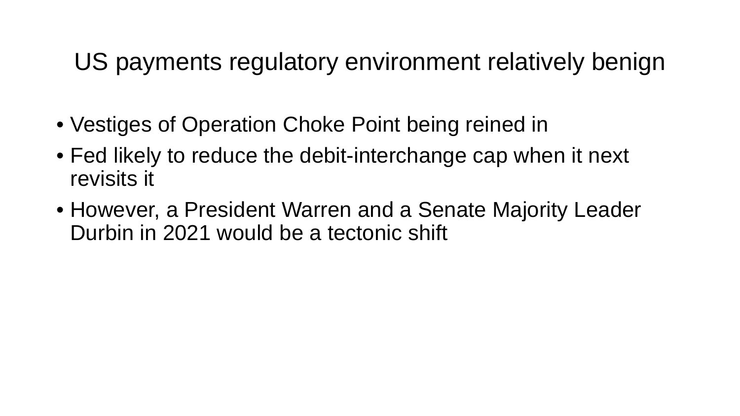US payments regulatory environment relatively benign

- Vestiges of Operation Choke Point being reined in
- Fed likely to reduce the debit-interchange cap when it next revisits it
- However, a President Warren and a Senate Majority Leader Durbin in 2021 would be a tectonic shift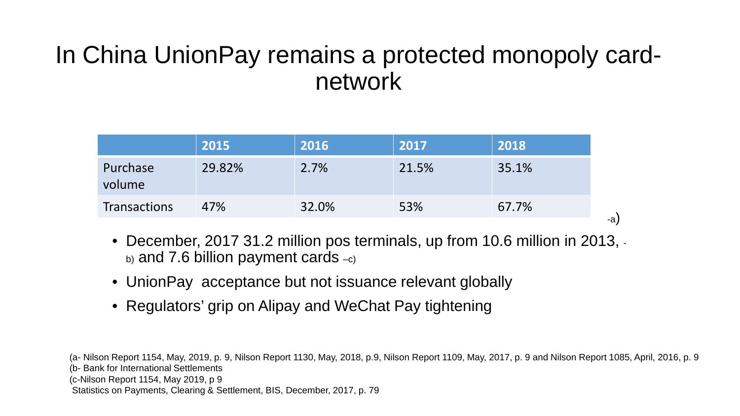#### In China UnionPay remains a protected monopoly cardnetwork

| 29.82%<br>Purchase         | 2.7%  | 21.5% | 35.1% |
|----------------------------|-------|-------|-------|
| volume                     |       |       |       |
| 47%<br><b>Transactions</b> | 32.0% | 53%   | 67.7% |

- December, 2017 31.2 million pos terminals, up from 10.6 million in 2013,  $b)$  and 7.6 billion payment cards  $-c$ )
- UnionPay acceptance but not issuance relevant globally
- Regulators' grip on Alipay and WeChat Pay tightening

(a- Nilson Report 1154, May, 2019, p. 9, Nilson Report 1130, May, 2018, p.9, Nilson Report 1109, May, 2017, p. 9 and Nilson Report 1085, April, 2016, p. 9 (b- Bank for International Settlements (c-Nilson Report 1154, May 2019, p 9 Statistics on Payments, Clearing & Settlement, BIS, December, 2017, p. 79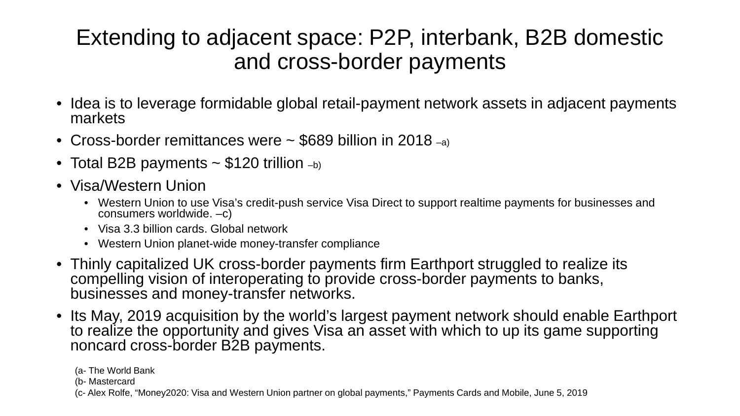#### Extending to adjacent space: P2P, interbank, B2B domestic and cross-border payments

- Idea is to leverage formidable global retail-payment network assets in adjacent payments markets
- Cross-border remittances were ~ \$689 billion in 2018 –a)
- Total B2B payments  $\sim$  \$120 trillion  $_{\text{-b}}$ )
- Visa/Western Union
	- Western Union to use Visa's credit-push service Visa Direct to support realtime payments for businesses and consumers worldwide. –c)
	- Visa 3.3 billion cards. Global network
	- Western Union planet-wide money-transfer compliance
- Thinly capitalized UK cross-border payments firm Earthport struggled to realize its compelling vision of interoperating to provide cross-border payments to banks, businesses and money-transfer networks.
- Its May, 2019 acquisition by the world's largest payment network should enable Earthport to realize the opportunity and gives Visa an asset with which to up its game supporting noncard cross-border B2B payments.

<sup>(</sup>a- The World Bank

<sup>(</sup>b- Mastercard

<sup>(</sup>c- Alex Rolfe, "Money2020: Visa and Western Union partner on global payments," Payments Cards and Mobile, June 5, 2019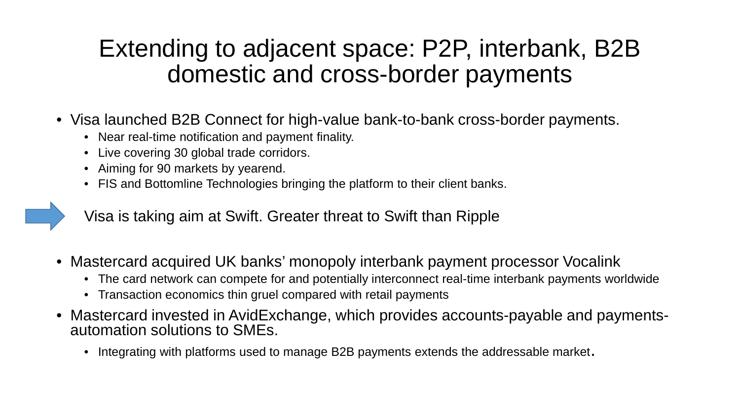### Extending to adjacent space: P2P, interbank, B2B domestic and cross-border payments

- Visa launched B2B Connect for high-value bank-to-bank cross-border payments.
	- Near real-time notification and payment finality.
	- Live covering 30 global trade corridors.
	- Aiming for 90 markets by yearend.
	- FIS and Bottomline Technologies bringing the platform to their client banks.

Visa is taking aim at Swift. Greater threat to Swift than Ripple

- Mastercard acquired UK banks' monopoly interbank payment processor Vocalink
	- The card network can compete for and potentially interconnect real-time interbank payments worldwide
	- Transaction economics thin gruel compared with retail payments
- Mastercard invested in AvidExchange, which provides accounts-payable and payments-<br>automation solutions to SMEs.
	- Integrating with platforms used to manage B2B payments extends the addressable market.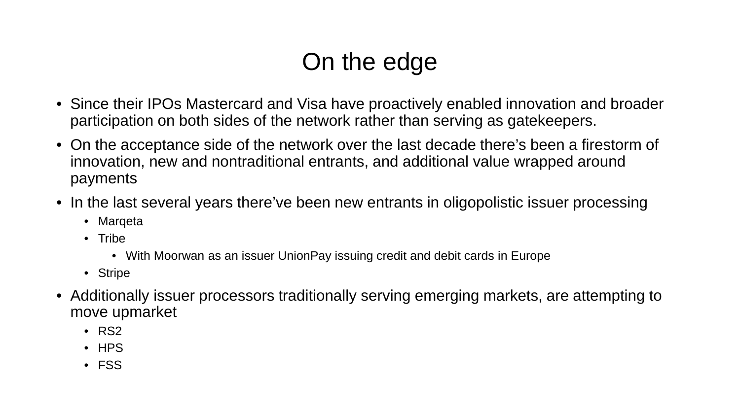# On the edge

- Since their IPOs Mastercard and Visa have proactively enabled innovation and broader participation on both sides of the network rather than serving as gatekeepers.
- On the acceptance side of the network over the last decade there's been a firestorm of innovation, new and nontraditional entrants, and additional value wrapped around payments
- In the last several years there've been new entrants in oligopolistic issuer processing
	- Marqeta
	- Tribe
		- With Moorwan as an issuer UnionPay issuing credit and debit cards in Europe
	- Stripe
- Additionally issuer processors traditionally serving emerging markets, are attempting to move upmarket
	- RS2
	- HPS
	- FSS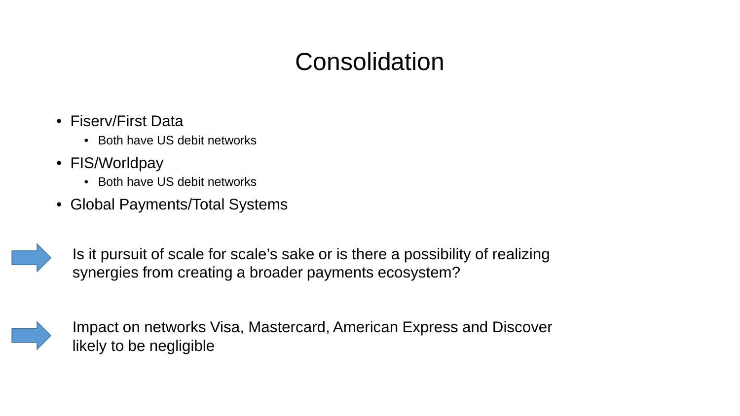### **Consolidation**

- Fiserv/First Data
	- Both have US debit networks
- FIS/Worldpay
	- Both have US debit networks
- Global Payments/Total Systems



Is it pursuit of scale for scale's sake or is there a possibility of realizing synergies from creating a broader payments ecosystem?



Impact on networks Visa, Mastercard, American Express and Discover likely to be negligible